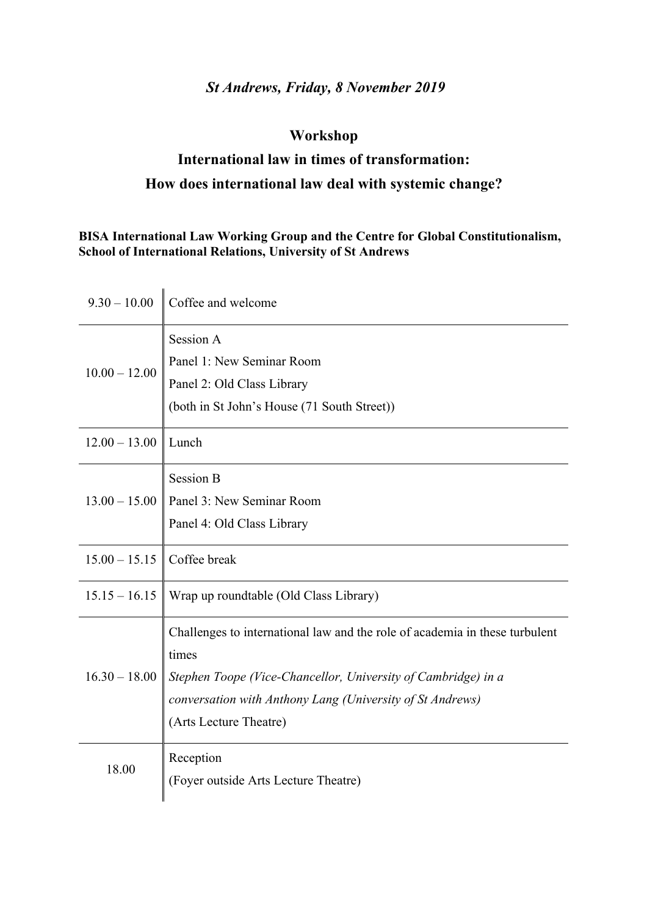## *St Andrews, Friday, 8 November 2019*

## **Workshop**

# **International law in times of transformation: How does international law deal with systemic change?**

### **BISA International Law Working Group and the Centre for Global Constitutionalism, School of International Relations, University of St Andrews**

| $9.30 - 10.00$  | Coffee and welcome                                                                                                                                                                                                                           |
|-----------------|----------------------------------------------------------------------------------------------------------------------------------------------------------------------------------------------------------------------------------------------|
| $10.00 - 12.00$ | Session A<br>Panel 1: New Seminar Room<br>Panel 2: Old Class Library<br>(both in St John's House (71 South Street))                                                                                                                          |
| $12.00 - 13.00$ | Lunch                                                                                                                                                                                                                                        |
| $13.00 - 15.00$ | <b>Session B</b><br>Panel 3: New Seminar Room<br>Panel 4: Old Class Library                                                                                                                                                                  |
| $15.00 - 15.15$ | Coffee break                                                                                                                                                                                                                                 |
| $15.15 - 16.15$ | Wrap up roundtable (Old Class Library)                                                                                                                                                                                                       |
| $16.30 - 18.00$ | Challenges to international law and the role of academia in these turbulent<br>times<br>Stephen Toope (Vice-Chancellor, University of Cambridge) in a<br>conversation with Anthony Lang (University of St Andrews)<br>(Arts Lecture Theatre) |
| 18.00           | Reception<br>(Foyer outside Arts Lecture Theatre)                                                                                                                                                                                            |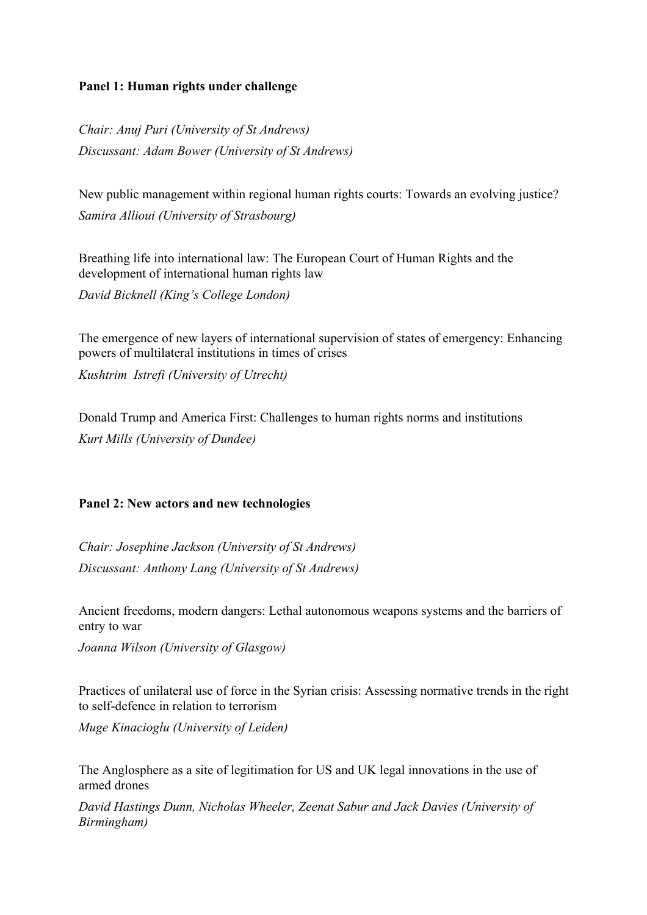#### **Panel 1: Human rights under challenge**

*Chair: Anuj Puri (University of St Andrews) Discussant: Adam Bower (University of St Andrews)*

New public management within regional human rights courts: Towards an evolving justice? *Samira Allioui (University of Strasbourg)*

Breathing life into international law: The European Court of Human Rights and the development of international human rights law

*David Bicknell (King's College London)*

The emergence of new layers of international supervision of states of emergency: Enhancing powers of multilateral institutions in times of crises

*Kushtrim Istrefi (University of Utrecht)*

Donald Trump and America First: Challenges to human rights norms and institutions *Kurt Mills (University of Dundee)*

#### **Panel 2: New actors and new technologies**

*Chair: Josephine Jackson (University of St Andrews) Discussant: Anthony Lang (University of St Andrews)*

Ancient freedoms, modern dangers: Lethal autonomous weapons systems and the barriers of entry to war

*Joanna Wilson (University of Glasgow)*

Practices of unilateral use of force in the Syrian crisis: Assessing normative trends in the right to self-defence in relation to terrorism

*Muge Kinacioglu (University of Leiden)*

The Anglosphere as a site of legitimation for US and UK legal innovations in the use of armed drones

*David Hastings Dunn, Nicholas Wheeler, Zeenat Sabur and Jack Davies (University of Birmingham)*